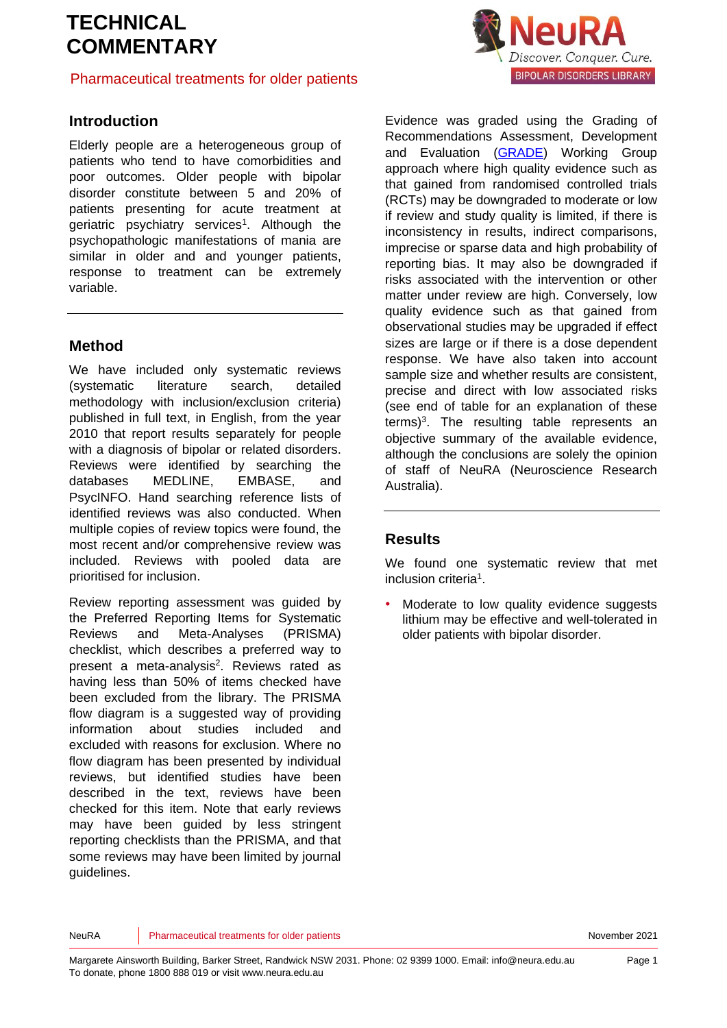## Pharmaceutical treatments for older patients

## **Introduction**

Elderly people are a heterogeneous group of patients who tend to have comorbidities and poor outcomes. Older people with bipolar disorder constitute between 5 and 20% of patients presenting for acute treatment at geriatric psychiatry services<sup>[1](#page-5-0)</sup>. Although the psychopathologic manifestations of mania are similar in older and and younger patients, response to treatment can be extremely variable.

## **Method**

We have included only systematic reviews (systematic literature search, detailed methodology with inclusion/exclusion criteria) published in full text, in English, from the year 2010 that report results separately for people with a diagnosis of bipolar or related disorders. Reviews were identified by searching the databases MEDLINE, EMBASE, and PsycINFO. Hand searching reference lists of identified reviews was also conducted. When multiple copies of review topics were found, the most recent and/or comprehensive review was included. Reviews with pooled data are prioritised for inclusion.

Review reporting assessment was guided by the Preferred Reporting Items for Systematic Reviews and Meta-Analyses (PRISMA) checklist, which describes a preferred way to pre[s](#page-5-1)ent a meta-analysis<sup>2</sup>. Reviews rated as having less than 50% of items checked have been excluded from the library. The PRISMA flow diagram is a suggested way of providing information about studies included and excluded with reasons for exclusion. Where no flow diagram has been presented by individual reviews, but identified studies have been described in the text, reviews have been checked for this item. Note that early reviews may have been guided by less stringent reporting checklists than the PRISMA, and that some reviews may have been limited by journal guidelines.



Evidence was graded using the Grading of Recommendations Assessment, Development and Evaluation [\(GRADE\)](http://www.gradeworkinggroup.org/) Working Group approach where high quality evidence such as that gained from randomised controlled trials (RCTs) may be downgraded to moderate or low if review and study quality is limited, if there is inconsistency in results, indirect comparisons, imprecise or sparse data and high probability of reporting bias. It may also be downgraded if risks associated with the intervention or other matter under review are high. Conversely, low quality evidence such as that gained from observational studies may be upgraded if effect sizes are large or if there is a dose dependent response. We have also taken into account sample size and whether results are consistent, precise and direct with low associated risks (see end of table for an explanation of these terms)<sup>[3](#page-5-2)</sup>. The resulting table represents an objective summary of the available evidence, although the conclusions are solely the opinion of staff of NeuRA (Neuroscience Research Australia).

## **Results**

We found one systematic review that met inclusion criteri[a](#page-5-0)<sup>1</sup>.

Moderate to low quality evidence suggests lithium may be effective and well-tolerated in older patients with bipolar disorder.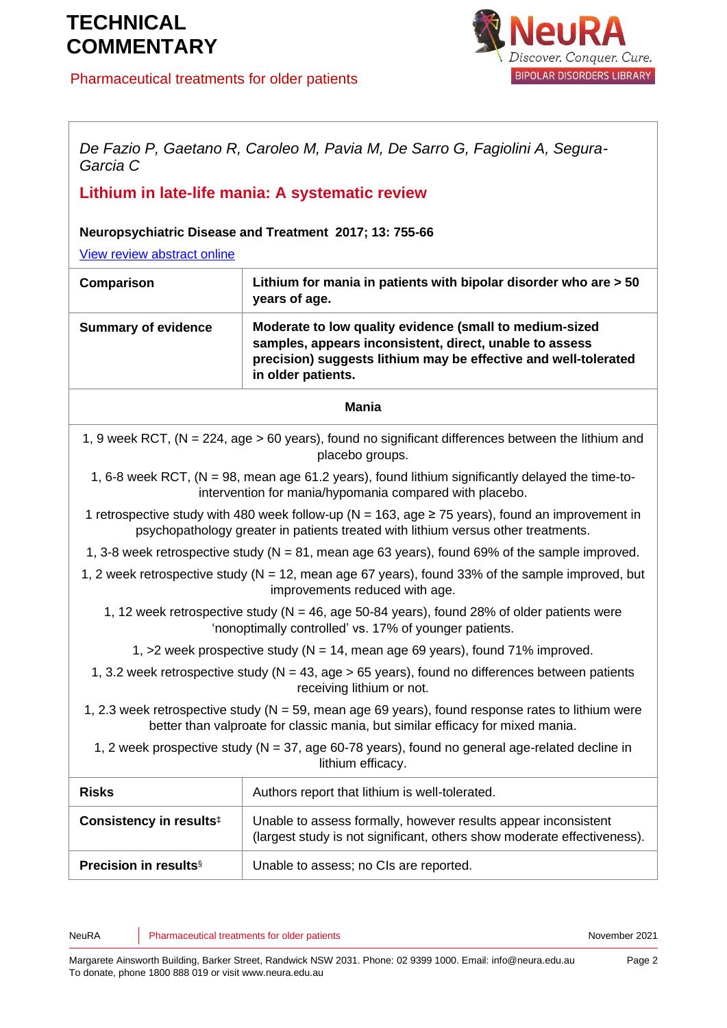## Pharmaceutical treatments for older patients



*De Fazio P, Gaetano R, Caroleo M, Pavia M, De Sarro G, Fagiolini A, Segura-Garcia C*

## **Lithium in late-life mania: A systematic review**

**Neuropsychiatric Disease and Treatment 2017; 13: 755-66**

[View review abstract online](https://www.ncbi.nlm.nih.gov/pubmed/28331326)

| Comparison                 | Lithium for mania in patients with bipolar disorder who are > 50<br>years of age.                                                                                                                           |
|----------------------------|-------------------------------------------------------------------------------------------------------------------------------------------------------------------------------------------------------------|
| <b>Summary of evidence</b> | Moderate to low quality evidence (small to medium-sized<br>samples, appears inconsistent, direct, unable to assess<br>precision) suggests lithium may be effective and well-tolerated<br>in older patients. |
|                            | Mania                                                                                                                                                                                                       |
|                            | 1. Quest BCT (N), 224, ses : 60 years) found no significant differences between the lithium and                                                                                                             |

1, 9 week RCT, (N = 224, age > 60 years), found no significant differences between the lithium and placebo groups.

1, 6-8 week RCT, (N = 98, mean age 61.2 years), found lithium significantly delayed the time-tointervention for mania/hypomania compared with placebo.

1 retrospective study with 480 week follow-up ( $N = 163$ , age  $\geq 75$  years), found an improvement in psychopathology greater in patients treated with lithium versus other treatments.

- 1, 3-8 week retrospective study ( $N = 81$ , mean age 63 years), found 69% of the sample improved.
- 1, 2 week retrospective study (N = 12, mean age 67 years), found 33% of the sample improved, but improvements reduced with age.
	- 1, 12 week retrospective study ( $N = 46$ , age 50-84 years), found 28% of older patients were 'nonoptimally controlled' vs. 17% of younger patients.
		- 1,  $>2$  week prospective study ( $N = 14$ , mean age 69 years), found 71% improved.
	- 1, 3.2 week retrospective study ( $N = 43$ , age  $> 65$  years), found no differences between patients receiving lithium or not.
- 1, 2.3 week retrospective study  $(N = 59)$ , mean age 69 years), found response rates to lithium were better than valproate for classic mania, but similar efficacy for mixed mania.
	- 1, 2 week prospective study ( $N = 37$ , age 60-78 years), found no general age-related decline in lithium efficacy.

| <b>Risks</b>                        | Authors report that lithium is well-tolerated.                                                                                            |
|-------------------------------------|-------------------------------------------------------------------------------------------------------------------------------------------|
| Consistency in results <sup>‡</sup> | Unable to assess formally, however results appear inconsistent<br>(largest study is not significant, others show moderate effectiveness). |
| <b>Precision in results</b> §       | Unable to assess; no CIs are reported.                                                                                                    |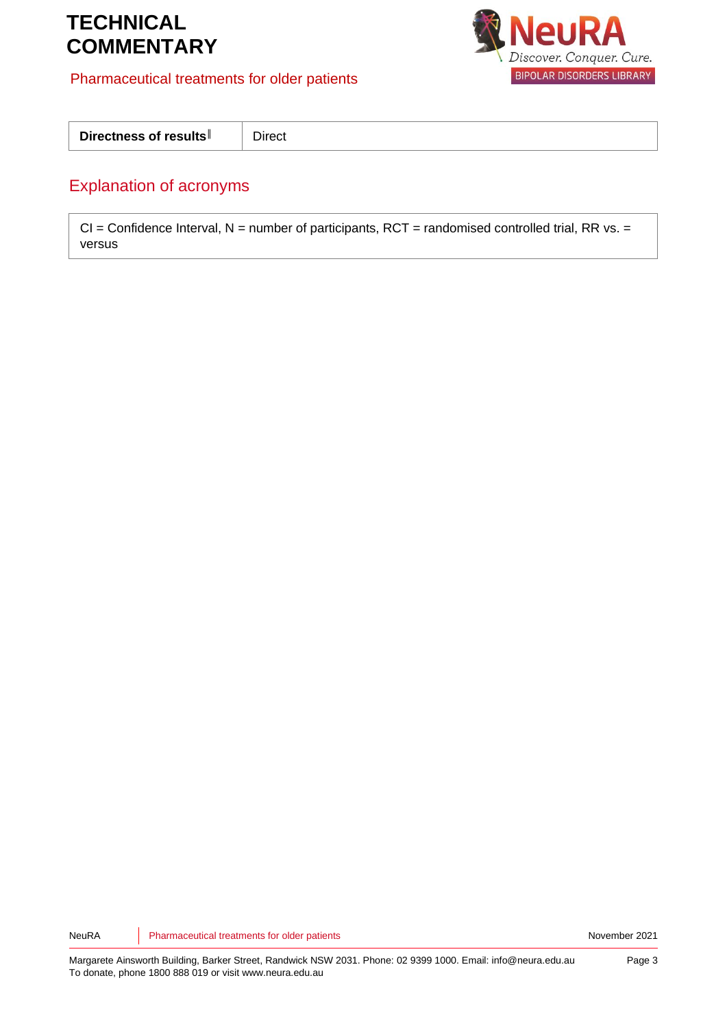## Pharmaceutical treatments for older patients



| Directness of results   Direct |  |
|--------------------------------|--|
|--------------------------------|--|

## Explanation of acronyms

 $CI =$  Confidence Interval,  $N =$  number of participants, RCT = randomised controlled trial, RR vs. = versus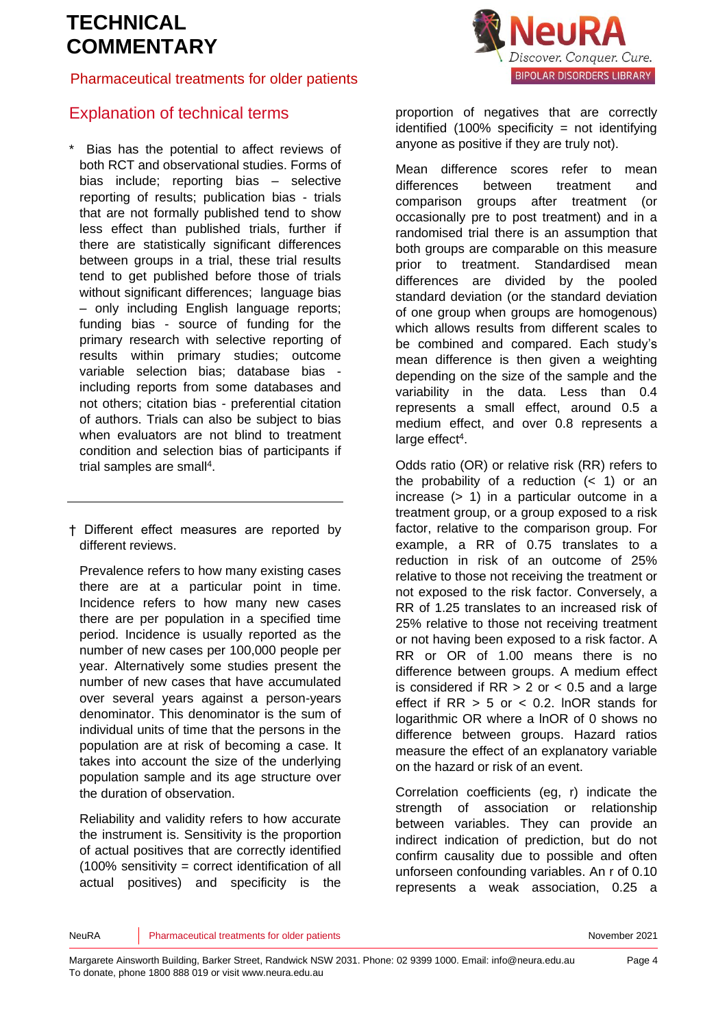## Pharmaceutical treatments for older patients



## Explanation of technical terms

- Bias has the potential to affect reviews of both RCT and observational studies. Forms of bias include; reporting bias – selective reporting of results; publication bias - trials that are not formally published tend to show less effect than published trials, further if there are statistically significant differences between groups in a trial, these trial results tend to get published before those of trials without significant differences; language bias – only including English language reports; funding bias - source of funding for the primary research with selective reporting of results within primary studies; outcome variable selection bias; database bias including reports from some databases and not others; citation bias - preferential citation of authors. Trials can also be subject to bias when evaluators are not blind to treatment condition and selection bias of participants if trial samples are sma[ll](#page-5-3)<sup>4</sup>.
- † Different effect measures are reported by different reviews.

Prevalence refers to how many existing cases there are at a particular point in time. Incidence refers to how many new cases there are per population in a specified time period. Incidence is usually reported as the number of new cases per 100,000 people per year. Alternatively some studies present the number of new cases that have accumulated over several years against a person-years denominator. This denominator is the sum of individual units of time that the persons in the population are at risk of becoming a case. It takes into account the size of the underlying population sample and its age structure over the duration of observation.

Reliability and validity refers to how accurate the instrument is. Sensitivity is the proportion of actual positives that are correctly identified  $(100\%$  sensitivity = correct identification of all actual positives) and specificity is the

proportion of negatives that are correctly identified  $(100\%$  specificity = not identifying anyone as positive if they are truly not).

Mean difference scores refer to mean differences between treatment and comparison groups after treatment (or occasionally pre to post treatment) and in a randomised trial there is an assumption that both groups are comparable on this measure prior to treatment. Standardised mean differences are divided by the pooled standard deviation (or the standard deviation of one group when groups are homogenous) which allows results from different scales to be combined and compared. Each study's mean difference is then given a weighting depending on the size of the sample and the variability in the data. Less than 0.4 represents a small effect, around 0.5 a medium effect, and over 0.8 represents a large effect<sup>[4](#page-5-3)</sup>.

Odds ratio (OR) or relative risk (RR) refers to the probability of a reduction  $($   $<$  1) or an increase (> 1) in a particular outcome in a treatment group, or a group exposed to a risk factor, relative to the comparison group. For example, a RR of 0.75 translates to a reduction in risk of an outcome of 25% relative to those not receiving the treatment or not exposed to the risk factor. Conversely, a RR of 1.25 translates to an increased risk of 25% relative to those not receiving treatment or not having been exposed to a risk factor. A RR or OR of 1.00 means there is no difference between groups. A medium effect is considered if  $RR > 2$  or  $< 0.5$  and a large effect if  $RR > 5$  or  $< 0.2$ . InOR stands for logarithmic OR where a lnOR of 0 shows no difference between groups. Hazard ratios measure the effect of an explanatory variable on the hazard or risk of an event.

Correlation coefficients (eg, r) indicate the strength of association or relationship between variables. They can provide an indirect indication of prediction, but do not confirm causality due to possible and often unforseen confounding variables. An r of 0.10 represents a weak association, 0.25 a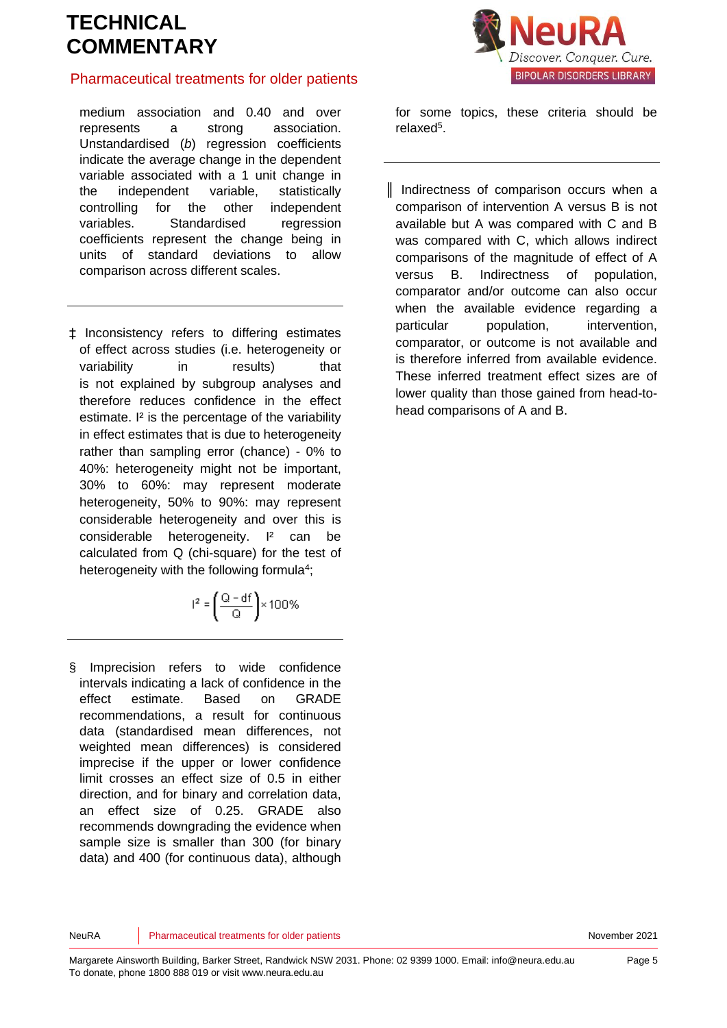## Pharmaceutical treatments for older patients

medium association and 0.40 and over represents a strong association. Unstandardised (*b*) regression coefficients indicate the average change in the dependent variable associated with a 1 unit change in the independent variable, statistically controlling for the other independent variables. Standardised regression coefficients represent the change being in units of standard deviations to allow comparison across different scales.

‡ Inconsistency refers to differing estimates of effect across studies (i.e. heterogeneity or variability in results) that is not explained by subgroup analyses and therefore reduces confidence in the effect estimate. I² is the percentage of the variability in effect estimates that is due to heterogeneity rather than sampling error (chance) - 0% to 40%: heterogeneity might not be important, 30% to 60%: may represent moderate heterogeneity, 50% to 90%: may represent considerable heterogeneity and over this is considerable heterogeneity. I² can be calculated from Q (chi-square) for the test of heterogeneity with the following formul[a](#page-5-3)<sup>4</sup>;

$$
l^2 = \left(\frac{Q - df}{Q}\right) \times 100\%
$$

§ Imprecision refers to wide confidence intervals indicating a lack of confidence in the effect estimate. Based on GRADE recommendations, a result for continuous data (standardised mean differences, not weighted mean differences) is considered imprecise if the upper or lower confidence limit crosses an effect size of 0.5 in either direction, and for binary and correlation data, an effect size of 0.25. GRADE also recommends downgrading the evidence when sample size is smaller than 300 (for binary data) and 400 (for continuous data), although



for some topics, these criteria should be relaxe[d](#page-5-4)<sup>5</sup>.

║ Indirectness of comparison occurs when a comparison of intervention A versus B is not available but A was compared with C and B was compared with C, which allows indirect comparisons of the magnitude of effect of A versus B. Indirectness of population, comparator and/or outcome can also occur when the available evidence regarding a particular population, intervention, comparator, or outcome is not available and is therefore inferred from available evidence. These inferred treatment effect sizes are of lower quality than those gained from head-tohead comparisons of A and B.

NeuRA **Pharmaceutical treatments for older patients** November 2021 November 2021